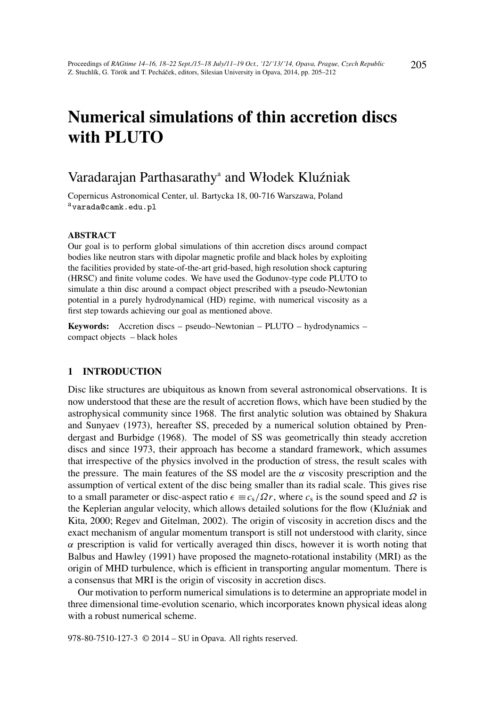# Numerical simulations of thin accretion discs with PLUTO

# Varadarajan Parthasarathy<sup>a</sup> and Włodek Kluźniak

Copernicus Astronomical Center, ul. Bartycka 18, 00-716 Warszawa, Poland avarada@camk.edu.pl

#### ABSTRACT

Our goal is to perform global simulations of thin accretion discs around compact bodies like neutron stars with dipolar magnetic profile and black holes by exploiting the facilities provided by state-of-the-art grid-based, high resolution shock capturing (HRSC) and finite volume codes. We have used the Godunov-type code PLUTO to simulate a thin disc around a compact object prescribed with a pseudo-Newtonian potential in a purely hydrodynamical (HD) regime, with numerical viscosity as a first step towards achieving our goal as mentioned above.

Keywords: Accretion discs – pseudo–Newtonian – PLUTO – hydrodynamics – compact objects – black holes

#### 1 INTRODUCTION

Disc like structures are ubiquitous as known from several astronomical observations. It is now understood that these are the result of accretion flows, which have been studied by the astrophysical community since 1968. The first analytic solution was obtained by Shakura and Sunyaev (1973), hereafter SS, preceded by a numerical solution obtained by Prendergast and Burbidge (1968). The model of SS was geometrically thin steady accretion discs and since 1973, their approach has become a standard framework, which assumes that irrespective of the physics involved in the production of stress, the result scales with the pressure. The main features of the SS model are the  $\alpha$  viscosity prescription and the assumption of vertical extent of the disc being smaller than its radial scale. This gives rise to a small parameter or disc-aspect ratio  $\epsilon \equiv c_s/\Omega r$ , where  $c_s$  is the sound speed and  $\Omega$  is the Keplerian angular velocity, which allows detailed solutions for the flow (Kluźniak and Kita, 2000; Regev and Gitelman, 2002). The origin of viscosity in accretion discs and the exact mechanism of angular momentum transport is still not understood with clarity, since  $\alpha$  prescription is valid for vertically averaged thin discs, however it is worth noting that Balbus and Hawley (1991) have proposed the magneto-rotational instability (MRI) as the origin of MHD turbulence, which is efficient in transporting angular momentum. There is a consensus that MRI is the origin of viscosity in accretion discs.

Our motivation to perform numerical simulations is to determine an appropriate model in three dimensional time-evolution scenario, which incorporates known physical ideas along with a robust numerical scheme.

978-80-7510-127-3 © 2014 – SU in Opava. All rights reserved.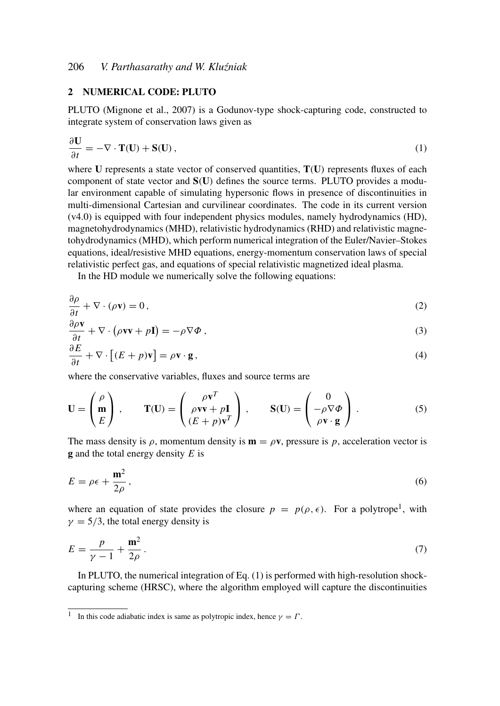### 2 NUMERICAL CODE: PLUTO

PLUTO (Mignone et al., 2007) is a Godunov-type shock-capturing code, constructed to integrate system of conservation laws given as

$$
\frac{\partial \mathbf{U}}{\partial t} = -\nabla \cdot \mathbf{T}(\mathbf{U}) + \mathbf{S}(\mathbf{U}),\tag{1}
$$

where  $U$  represents a state vector of conserved quantities,  $T(U)$  represents fluxes of each component of state vector and S(U) defines the source terms. PLUTO provides a modular environment capable of simulating hypersonic flows in presence of discontinuities in multi-dimensional Cartesian and curvilinear coordinates. The code in its current version (v4.0) is equipped with four independent physics modules, namely hydrodynamics (HD), magnetohydrodynamics (MHD), relativistic hydrodynamics (RHD) and relativistic magnetohydrodynamics (MHD), which perform numerical integration of the Euler/Navier–Stokes equations, ideal/resistive MHD equations, energy-momentum conservation laws of special relativistic perfect gas, and equations of special relativistic magnetized ideal plasma.

In the HD module we numerically solve the following equations:

$$
\frac{\partial \rho}{\partial t} + \nabla \cdot (\rho \mathbf{v}) = 0, \tag{2}
$$

$$
\frac{\partial \rho \mathbf{v}}{\partial t} + \nabla \cdot (\rho \mathbf{v} \mathbf{v} + p \mathbf{I}) = -\rho \nabla \Phi , \qquad (3)
$$

$$
\frac{\partial E}{\partial t} + \nabla \cdot \left[ (E + p)\mathbf{v} \right] = \rho \mathbf{v} \cdot \mathbf{g},\tag{4}
$$

where the conservative variables, fluxes and source terms are

$$
\mathbf{U} = \begin{pmatrix} \rho \\ \mathbf{m} \\ E \end{pmatrix}, \qquad \mathbf{T}(\mathbf{U}) = \begin{pmatrix} \rho \mathbf{v}^T \\ \rho \mathbf{v} \mathbf{v} + p \mathbf{I} \\ (E + p) \mathbf{v}^T \end{pmatrix}, \qquad \mathbf{S}(\mathbf{U}) = \begin{pmatrix} 0 \\ -\rho \nabla \Phi \\ \rho \mathbf{v} \cdot \mathbf{g} \end{pmatrix}.
$$
 (5)

The mass density is  $\rho$ , momentum density is  $\mathbf{m} = \rho \mathbf{v}$ , pressure is p, acceleration vector is g and the total energy density *E* is

$$
E = \rho \epsilon + \frac{\mathbf{m}^2}{2\rho},\tag{6}
$$

where an equation of state provides the closure  $p = p(\rho, \epsilon)$ . For a polytrope<sup>1</sup>, with  $\gamma = 5/3$ , the total energy density is

$$
E = \frac{p}{\gamma - 1} + \frac{\mathbf{m}^2}{2\rho}.
$$
\n<sup>(7)</sup>

In PLUTO, the numerical integration of Eq. (1) is performed with high-resolution shockcapturing scheme (HRSC), where the algorithm employed will capture the discontinuities

<sup>&</sup>lt;sup>1</sup> In this code adiabatic index is same as polytropic index, hence  $\gamma = \Gamma$ .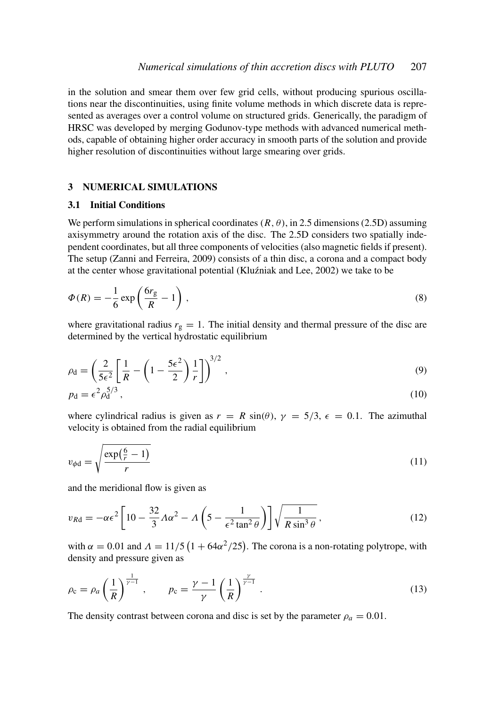in the solution and smear them over few grid cells, without producing spurious oscillations near the discontinuities, using finite volume methods in which discrete data is represented as averages over a control volume on structured grids. Generically, the paradigm of HRSC was developed by merging Godunov-type methods with advanced numerical methods, capable of obtaining higher order accuracy in smooth parts of the solution and provide higher resolution of discontinuities without large smearing over grids.

# 3 NUMERICAL SIMULATIONS

#### 3.1 Initial Conditions

We perform simulations in spherical coordinates  $(R, \theta)$ , in 2.5 dimensions (2.5D) assuming axisymmetry around the rotation axis of the disc. The 2.5D considers two spatially independent coordinates, but all three components of velocities (also magnetic fields if present). The setup (Zanni and Ferreira, 2009) consists of a thin disc, a corona and a compact body at the center whose gravitational potential (Kluźniak and Lee, 2002) we take to be

$$
\Phi(R) = -\frac{1}{6} \exp\left(\frac{6r_{g}}{R} - 1\right),\tag{8}
$$

where gravitational radius  $r<sub>g</sub> = 1$ . The initial density and thermal pressure of the disc are determined by the vertical hydrostatic equilibrium

$$
\rho_{\rm d} = \left(\frac{2}{5\epsilon^2} \left[ \frac{1}{R} - \left(1 - \frac{5\epsilon^2}{2}\right) \frac{1}{r} \right] \right)^{3/2},\tag{9}
$$

$$
p_{\rm d} = \epsilon^2 \rho_{\rm d}^{5/3} \,,\tag{10}
$$

where cylindrical radius is given as  $r = R \sin(\theta)$ ,  $\gamma = 5/3$ ,  $\epsilon = 0.1$ . The azimuthal velocity is obtained from the radial equilibrium

$$
v_{\phi \mathbf{d}} = \sqrt{\frac{\exp(\frac{6}{r} - 1)}{r}}\tag{11}
$$

and the meridional flow is given as

$$
v_{Rd} = -\alpha \epsilon^2 \left[ 10 - \frac{32}{3} A \alpha^2 - A \left( 5 - \frac{1}{\epsilon^2 \tan^2 \theta} \right) \right] \sqrt{\frac{1}{R \sin^3 \theta}}, \tag{12}
$$

with  $\alpha = 0.01$  and  $\Lambda = 11/5 (1 + 64\alpha^2/25)$ . The corona is a non-rotating polytrope, with density and pressure given as

$$
\rho_{\rm c} = \rho_a \left(\frac{1}{R}\right)^{\frac{1}{\gamma - 1}}, \qquad p_{\rm c} = \frac{\gamma - 1}{\gamma} \left(\frac{1}{R}\right)^{\frac{\gamma}{\gamma - 1}}.
$$
\n(13)

The density contrast between corona and disc is set by the parameter  $\rho_a = 0.01$ .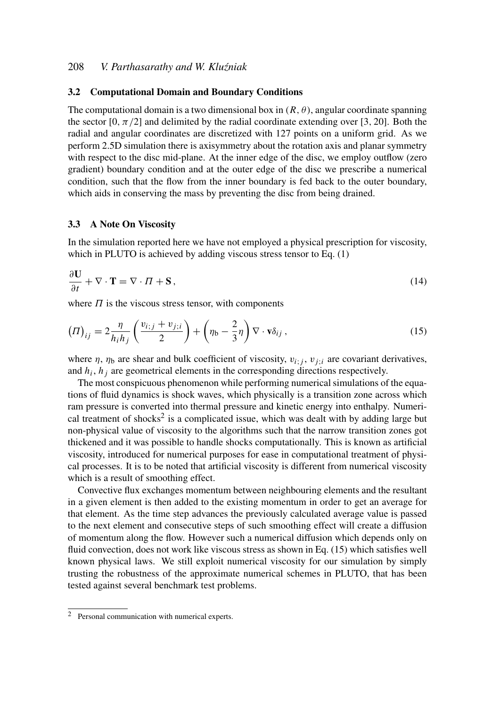# 208 *V. Parthasarathy and W. Klu´zniak*

#### 3.2 Computational Domain and Boundary Conditions

The computational domain is a two dimensional box in  $(R, \theta)$ , angular coordinate spanning the sector  $[0, \pi/2]$  and delimited by the radial coordinate extending over [3, 20]. Both the radial and angular coordinates are discretized with 127 points on a uniform grid. As we perform 2.5D simulation there is axisymmetry about the rotation axis and planar symmetry with respect to the disc mid-plane. At the inner edge of the disc, we employ outflow (zero gradient) boundary condition and at the outer edge of the disc we prescribe a numerical condition, such that the flow from the inner boundary is fed back to the outer boundary, which aids in conserving the mass by preventing the disc from being drained.

#### 3.3 A Note On Viscosity

In the simulation reported here we have not employed a physical prescription for viscosity, which in PLUTO is achieved by adding viscous stress tensor to Eq. (1)

$$
\frac{\partial \mathbf{U}}{\partial t} + \nabla \cdot \mathbf{T} = \nabla \cdot \Pi + \mathbf{S},\tag{14}
$$

where  $\Pi$  is the viscous stress tensor, with components

$$
(II)_{ij} = 2\frac{\eta}{h_i h_j} \left( \frac{v_{i;j} + v_{j;i}}{2} \right) + \left( \eta_b - \frac{2}{3} \eta \right) \nabla \cdot \mathbf{v} \delta_{ij}, \qquad (15)
$$

where  $\eta$ ,  $\eta_b$  are shear and bulk coefficient of viscosity,  $v_i$ ; *j*,  $v_j$ ; are covariant derivatives, and  $h_i$ ,  $h_j$  are geometrical elements in the corresponding directions respectively.

The most conspicuous phenomenon while performing numerical simulations of the equations of fluid dynamics is shock waves, which physically is a transition zone across which ram pressure is converted into thermal pressure and kinetic energy into enthalpy. Numerical treatment of shocks<sup>2</sup> is a complicated issue, which was dealt with by adding large but non-physical value of viscosity to the algorithms such that the narrow transition zones got thickened and it was possible to handle shocks computationally. This is known as artificial viscosity, introduced for numerical purposes for ease in computational treatment of physical processes. It is to be noted that artificial viscosity is different from numerical viscosity which is a result of smoothing effect.

Convective flux exchanges momentum between neighbouring elements and the resultant in a given element is then added to the existing momentum in order to get an average for that element. As the time step advances the previously calculated average value is passed to the next element and consecutive steps of such smoothing effect will create a diffusion of momentum along the flow. However such a numerical diffusion which depends only on fluid convection, does not work like viscous stress as shown in Eq. (15) which satisfies well known physical laws. We still exploit numerical viscosity for our simulation by simply trusting the robustness of the approximate numerical schemes in PLUTO, that has been tested against several benchmark test problems.

<sup>2</sup> Personal communication with numerical experts.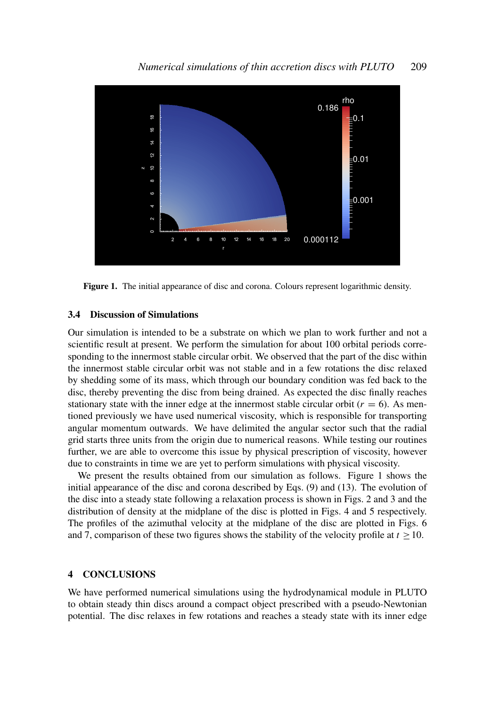

Figure 1. The initial appearance of disc and corona. Colours represent logarithmic density.

#### 3.4 Discussion of Simulations

Our simulation is intended to be a substrate on which we plan to work further and not a scientific result at present. We perform the simulation for about 100 orbital periods corresponding to the innermost stable circular orbit. We observed that the part of the disc within the innermost stable circular orbit was not stable and in a few rotations the disc relaxed by shedding some of its mass, which through our boundary condition was fed back to the disc, thereby preventing the disc from being drained. As expected the disc finally reaches stationary state with the inner edge at the innermost stable circular orbit  $(r = 6)$ . As mentioned previously we have used numerical viscosity, which is responsible for transporting angular momentum outwards. We have delimited the angular sector such that the radial grid starts three units from the origin due to numerical reasons. While testing our routines further, we are able to overcome this issue by physical prescription of viscosity, however due to constraints in time we are yet to perform simulations with physical viscosity.

We present the results obtained from our simulation as follows. Figure 1 shows the initial appearance of the disc and corona described by Eqs. (9) and (13). The evolution of the disc into a steady state following a relaxation process is shown in Figs. 2 and 3 and the distribution of density at the midplane of the disc is plotted in Figs. 4 and 5 respectively. The profiles of the azimuthal velocity at the midplane of the disc are plotted in Figs. 6 and 7, comparison of these two figures shows the stability of the velocity profile at  $t \geq 10$ .

#### 4 CONCLUSIONS

We have performed numerical simulations using the hydrodynamical module in PLUTO to obtain steady thin discs around a compact object prescribed with a pseudo-Newtonian potential. The disc relaxes in few rotations and reaches a steady state with its inner edge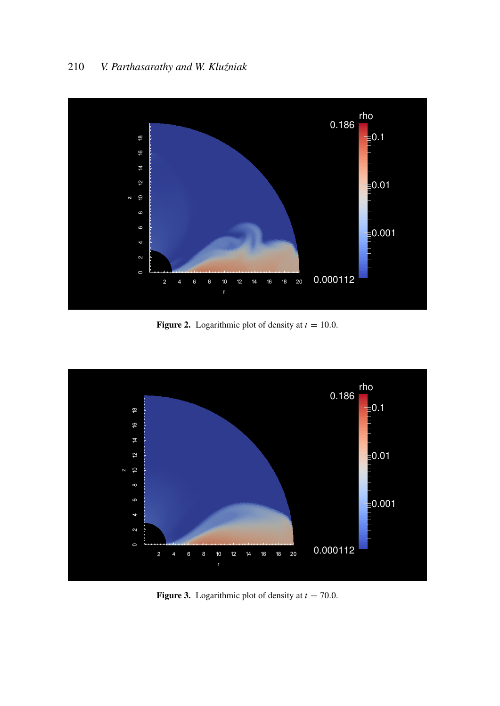

**Figure 2.** Logarithmic plot of density at  $t = 10.0$ .



**Figure 3.** Logarithmic plot of density at  $t = 70.0$ .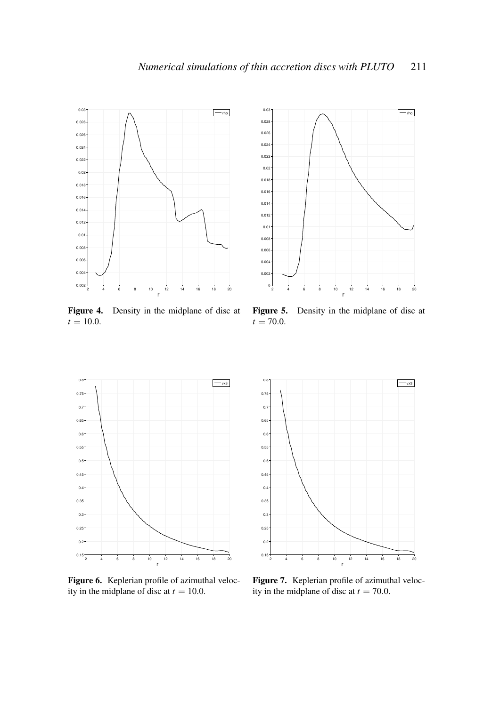

Figure 4. Density in the midplane of disc at  $t = 10.0$ .



Figure 5. Density in the midplane of disc at  $t = 70.0$ .



Figure 6. Keplerian profile of azimuthal velocity in the midplane of disc at  $t = 10.0$ .



Figure 7. Keplerian profile of azimuthal velocity in the midplane of disc at  $t = 70.0$ .